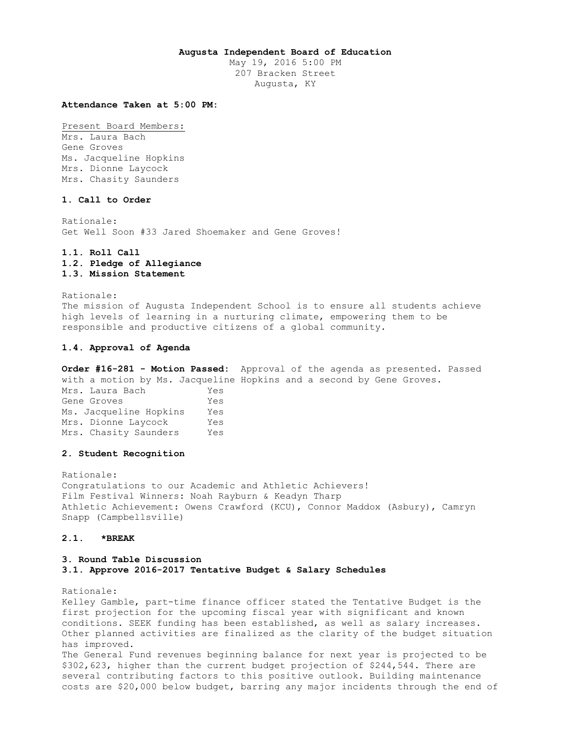### **Augusta Independent Board of Education**

May 19, 2016 5:00 PM 207 Bracken Street Augusta, KY

### **Attendance Taken at 5:00 PM:**

Present Board Members: Mrs. Laura Bach Gene Groves Ms. Jacqueline Hopkins Mrs. Dionne Laycock Mrs. Chasity Saunders

## **1. Call to Order**

Rationale: Get Well Soon #33 Jared Shoemaker and Gene Groves!

## **1.1. Roll Call 1.2. Pledge of Allegiance 1.3. Mission Statement**

Rationale: The mission of Augusta Independent School is to ensure all students achieve high levels of learning in a nurturing climate, empowering them to be responsible and productive citizens of a global community.

## **1.4. Approval of Agenda**

**Order #16-281 - Motion Passed:** Approval of the agenda as presented. Passed with a motion by Ms. Jacqueline Hopkins and a second by Gene Groves. Mrs. Laura Bach Yes Gene Groves Yes Ms. Jacqueline Hopkins Yes Mrs. Dionne Laycock Yes Mrs. Chasity Saunders Yes

## **2. Student Recognition**

Rationale: Congratulations to our Academic and Athletic Achievers! Film Festival Winners: Noah Rayburn & Keadyn Tharp Athletic Achievement: Owens Crawford (KCU), Connor Maddox (Asbury), Camryn Snapp (Campbellsville)

## **2.1. \*BREAK**

## **3. Round Table Discussion**

**3.1. Approve 2016-2017 Tentative Budget & Salary Schedules** 

Rationale:

Kelley Gamble, part-time finance officer stated the Tentative Budget is the first projection for the upcoming fiscal year with significant and known conditions. SEEK funding has been established, as well as salary increases. Other planned activities are finalized as the clarity of the budget situation has improved. The General Fund revenues beginning balance for next year is projected to be \$302,623, higher than the current budget projection of \$244,544. There are

several contributing factors to this positive outlook. Building maintenance costs are \$20,000 below budget, barring any major incidents through the end of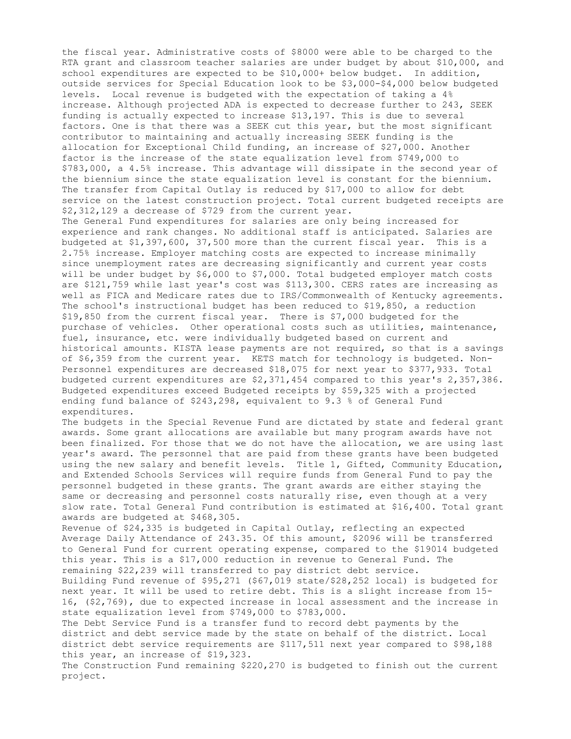the fiscal year. Administrative costs of \$8000 were able to be charged to the RTA grant and classroom teacher salaries are under budget by about \$10,000, and school expenditures are expected to be \$10,000+ below budget. In addition, outside services for Special Education look to be \$3,000-\$4,000 below budgeted levels. Local revenue is budgeted with the expectation of taking a 4% increase. Although projected ADA is expected to decrease further to 243, SEEK funding is actually expected to increase \$13,197. This is due to several factors. One is that there was a SEEK cut this year, but the most significant contributor to maintaining and actually increasing SEEK funding is the allocation for Exceptional Child funding, an increase of \$27,000. Another factor is the increase of the state equalization level from \$749,000 to \$783,000, a 4.5% increase. This advantage will dissipate in the second year of the biennium since the state equalization level is constant for the biennium. The transfer from Capital Outlay is reduced by \$17,000 to allow for debt service on the latest construction project. Total current budgeted receipts are \$2,312,129 a decrease of \$729 from the current year. The General Fund expenditures for salaries are only being increased for experience and rank changes. No additional staff is anticipated. Salaries are budgeted at \$1,397,600, 37,500 more than the current fiscal year. This is a 2.75% increase. Employer matching costs are expected to increase minimally since unemployment rates are decreasing significantly and current year costs will be under budget by \$6,000 to \$7,000. Total budgeted employer match costs are \$121,759 while last year's cost was \$113,300. CERS rates are increasing as well as FICA and Medicare rates due to IRS/Commonwealth of Kentucky agreements. The school's instructional budget has been reduced to \$19,850, a reduction \$19,850 from the current fiscal year. There is \$7,000 budgeted for the purchase of vehicles. Other operational costs such as utilities, maintenance, fuel, insurance, etc. were individually budgeted based on current and historical amounts. KISTA lease payments are not required, so that is a savings of \$6,359 from the current year. KETS match for technology is budgeted. Non-Personnel expenditures are decreased \$18,075 for next year to \$377,933. Total budgeted current expenditures are \$2,371,454 compared to this year's 2,357,386. Budgeted expenditures exceed Budgeted receipts by \$59,325 with a projected ending fund balance of \$243,298, equivalent to 9.3 % of General Fund expenditures. The budgets in the Special Revenue Fund are dictated by state and federal grant awards. Some grant allocations are available but many program awards have not been finalized. For those that we do not have the allocation, we are using last year's award. The personnel that are paid from these grants have been budgeted using the new salary and benefit levels. Title 1, Gifted, Community Education, and Extended Schools Services will require funds from General Fund to pay the personnel budgeted in these grants. The grant awards are either staying the same or decreasing and personnel costs naturally rise, even though at a very slow rate. Total General Fund contribution is estimated at \$16,400. Total grant awards are budgeted at \$468,305. Revenue of \$24,335 is budgeted in Capital Outlay, reflecting an expected Average Daily Attendance of 243.35. Of this amount, \$2096 will be transferred to General Fund for current operating expense, compared to the \$19014 budgeted this year. This is a \$17,000 reduction in revenue to General Fund. The remaining \$22,239 will transferred to pay district debt service. Building Fund revenue of \$95,271 (\$67,019 state/\$28,252 local) is budgeted for next year. It will be used to retire debt. This is a slight increase from 15- 16, (\$2,769), due to expected increase in local assessment and the increase in state equalization level from \$749,000 to \$783,000. The Debt Service Fund is a transfer fund to record debt payments by the district and debt service made by the state on behalf of the district. Local district debt service requirements are \$117,511 next year compared to \$98,188 this year, an increase of \$19,323.

The Construction Fund remaining \$220,270 is budgeted to finish out the current project.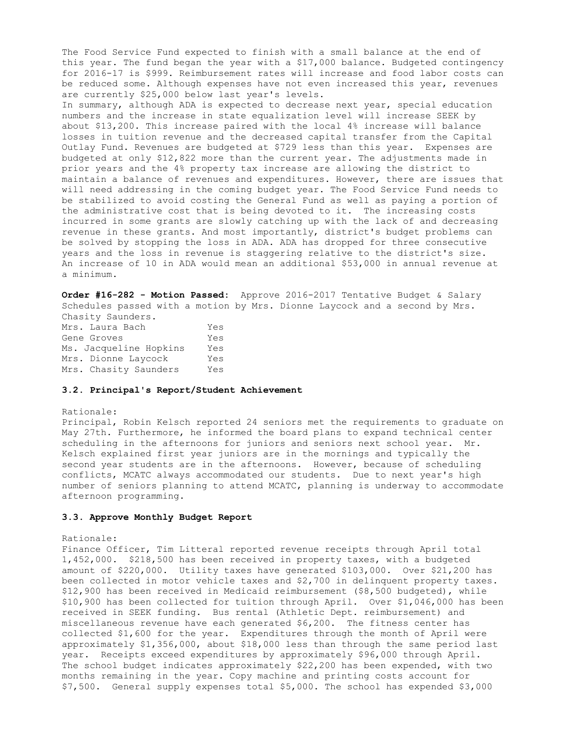The Food Service Fund expected to finish with a small balance at the end of this year. The fund began the year with a \$17,000 balance. Budgeted contingency for 2016-17 is \$999. Reimbursement rates will increase and food labor costs can be reduced some. Although expenses have not even increased this year, revenues are currently \$25,000 below last year's levels. In summary, although ADA is expected to decrease next year, special education numbers and the increase in state equalization level will increase SEEK by about \$13,200. This increase paired with the local 4% increase will balance losses in tuition revenue and the decreased capital transfer from the Capital Outlay Fund. Revenues are budgeted at \$729 less than this year. Expenses are budgeted at only \$12,822 more than the current year. The adjustments made in prior years and the 4% property tax increase are allowing the district to maintain a balance of revenues and expenditures. However, there are issues that will need addressing in the coming budget year. The Food Service Fund needs to be stabilized to avoid costing the General Fund as well as paying a portion of the administrative cost that is being devoted to it. The increasing costs incurred in some grants are slowly catching up with the lack of and decreasing revenue in these grants. And most importantly, district's budget problems can be solved by stopping the loss in ADA. ADA has dropped for three consecutive years and the loss in revenue is staggering relative to the district's size. An increase of 10 in ADA would mean an additional \$53,000 in annual revenue at a minimum.

**Order #16-282 - Motion Passed:** Approve 2016-2017 Tentative Budget & Salary Schedules passed with a motion by Mrs. Dionne Laycock and a second by Mrs. Chasity Saunders.

Mrs. Laura Bach Yes Gene Groves Tes Ms. Jacqueline Hopkins Yes Mrs. Dionne Laycock Yes Mrs. Chasity Saunders Yes

## **3.2. Principal's Report/Student Achievement**

### Rationale:

Principal, Robin Kelsch reported 24 seniors met the requirements to graduate on May 27th. Furthermore, he informed the board plans to expand technical center scheduling in the afternoons for juniors and seniors next school year. Mr. Kelsch explained first year juniors are in the mornings and typically the second year students are in the afternoons. However, because of scheduling conflicts, MCATC always accommodated our students. Due to next year's high number of seniors planning to attend MCATC, planning is underway to accommodate afternoon programming.

## **3.3. Approve Monthly Budget Report**

### Rationale:

Finance Officer, Tim Litteral reported revenue receipts through April total 1,452,000. \$218,500 has been received in property taxes, with a budgeted amount of \$220,000. Utility taxes have generated \$103,000. Over \$21,200 has been collected in motor vehicle taxes and \$2,700 in delinquent property taxes. \$12,900 has been received in Medicaid reimbursement (\$8,500 budgeted), while \$10,900 has been collected for tuition through April. Over \$1,046,000 has been received in SEEK funding. Bus rental (Athletic Dept. reimbursement) and miscellaneous revenue have each generated \$6,200. The fitness center has collected \$1,600 for the year. Expenditures through the month of April were approximately \$1,356,000, about \$18,000 less than through the same period last year. Receipts exceed expenditures by approximately \$96,000 through April. The school budget indicates approximately \$22,200 has been expended, with two months remaining in the year. Copy machine and printing costs account for \$7,500. General supply expenses total \$5,000. The school has expended \$3,000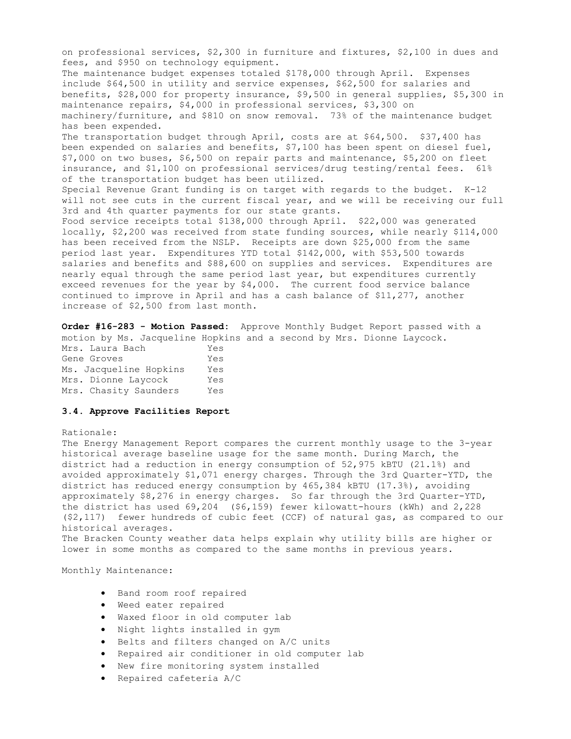on professional services, \$2,300 in furniture and fixtures, \$2,100 in dues and fees, and \$950 on technology equipment. The maintenance budget expenses totaled \$178,000 through April. Expenses include \$64,500 in utility and service expenses, \$62,500 for salaries and benefits, \$28,000 for property insurance, \$9,500 in general supplies, \$5,300 in maintenance repairs, \$4,000 in professional services, \$3,300 on machinery/furniture, and \$810 on snow removal. 73% of the maintenance budget has been expended. The transportation budget through April, costs are at \$64,500. \$37,400 has been expended on salaries and benefits, \$7,100 has been spent on diesel fuel, \$7,000 on two buses, \$6,500 on repair parts and maintenance, \$5,200 on fleet insurance, and \$1,100 on professional services/drug testing/rental fees. 61% of the transportation budget has been utilized. Special Revenue Grant funding is on target with regards to the budget. K-12 will not see cuts in the current fiscal year, and we will be receiving our full 3rd and 4th quarter payments for our state grants. Food service receipts total \$138,000 through April. \$22,000 was generated locally, \$2,200 was received from state funding sources, while nearly \$114,000 has been received from the NSLP. Receipts are down \$25,000 from the same period last year. Expenditures YTD total \$142,000, with \$53,500 towards salaries and benefits and \$88,600 on supplies and services. Expenditures are nearly equal through the same period last year, but expenditures currently exceed revenues for the year by \$4,000. The current food service balance continued to improve in April and has a cash balance of \$11,277, another increase of \$2,500 from last month.

**Order #16-283 - Motion Passed:** Approve Monthly Budget Report passed with a motion by Ms. Jacqueline Hopkins and a second by Mrs. Dionne Laycock. Mrs. Laura Bach Yes Gene Groves Yes Ms. Jacqueline Hopkins Yes Mrs. Dionne Laycock Yes

## **3.4. Approve Facilities Report**

Mrs. Chasity Saunders Yes

#### Rationale:

The Energy Management Report compares the current monthly usage to the 3-year historical average baseline usage for the same month. During March, the district had a reduction in energy consumption of 52,975 kBTU (21.1%) and avoided approximately \$1,071 energy charges. Through the 3rd Quarter-YTD, the district has reduced energy consumption by 465,384 kBTU (17.3%), avoiding approximately \$8,276 in energy charges. So far through the 3rd Quarter-YTD, the district has used 69,204 (\$6,159) fewer kilowatt-hours (kWh) and 2,228 (\$2,117) fewer hundreds of cubic feet (CCF) of natural gas, as compared to our historical averages. The Bracken County weather data helps explain why utility bills are higher or

lower in some months as compared to the same months in previous years.

## Monthly Maintenance:

- Band room roof repaired
- Weed eater repaired
- Waxed floor in old computer lab
- Night lights installed in gym
- Belts and filters changed on A/C units
- Repaired air conditioner in old computer lab
- New fire monitoring system installed
- Repaired cafeteria A/C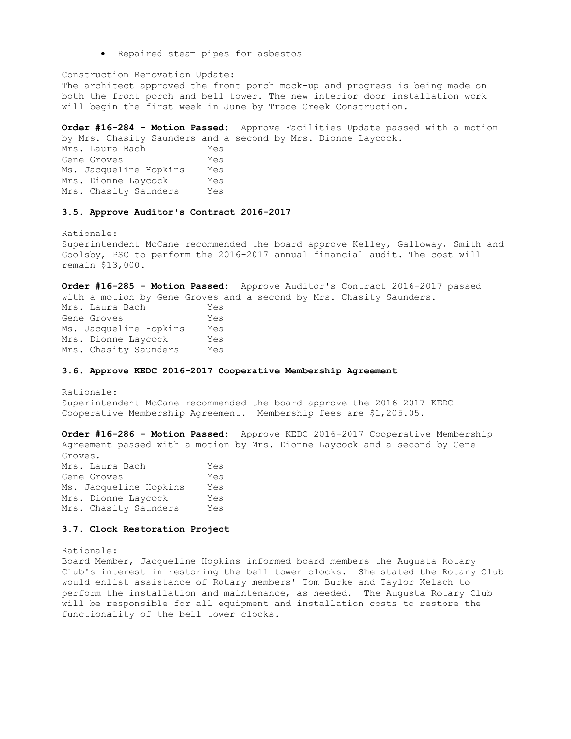Repaired steam pipes for asbestos

Construction Renovation Update: The architect approved the front porch mock-up and progress is being made on both the front porch and bell tower. The new interior door installation work will begin the first week in June by Trace Creek Construction.

**Order #16-284 - Motion Passed:** Approve Facilities Update passed with a motion by Mrs. Chasity Saunders and a second by Mrs. Dionne Laycock.

Mrs. Laura Bach Yes Gene Groves Tes Ms. Jacqueline Hopkins Yes Mrs. Dionne Laycock Yes Mrs. Chasity Saunders Yes

## **3.5. Approve Auditor's Contract 2016-2017**

Rationale: Superintendent McCane recommended the board approve Kelley, Galloway, Smith and Goolsby, PSC to perform the 2016-2017 annual financial audit. The cost will remain \$13,000.

**Order #16-285 - Motion Passed:** Approve Auditor's Contract 2016-2017 passed with a motion by Gene Groves and a second by Mrs. Chasity Saunders. Mrs. Laura Bach Yes Gene Groves Tes Ms. Jacqueline Hopkins Yes Mrs. Dionne Laycock Yes<br>Mrs. Chasity Saunders Yes Mrs. Chasity Saunders

## **3.6. Approve KEDC 2016-2017 Cooperative Membership Agreement**

Rationale: Superintendent McCane recommended the board approve the 2016-2017 KEDC Cooperative Membership Agreement. Membership fees are \$1,205.05.

**Order #16-286 - Motion Passed:** Approve KEDC 2016-2017 Cooperative Membership Agreement passed with a motion by Mrs. Dionne Laycock and a second by Gene Groves. Mrs. Laura Bach Yes Gene Groves Tes Ms. Jacqueline Hopkins Yes

Mrs. Dionne Laycock Yes Mrs. Chasity Saunders Yes

### **3.7. Clock Restoration Project**

Rationale:

Board Member, Jacqueline Hopkins informed board members the Augusta Rotary Club's interest in restoring the bell tower clocks. She stated the Rotary Club would enlist assistance of Rotary members' Tom Burke and Taylor Kelsch to perform the installation and maintenance, as needed. The Augusta Rotary Club will be responsible for all equipment and installation costs to restore the functionality of the bell tower clocks.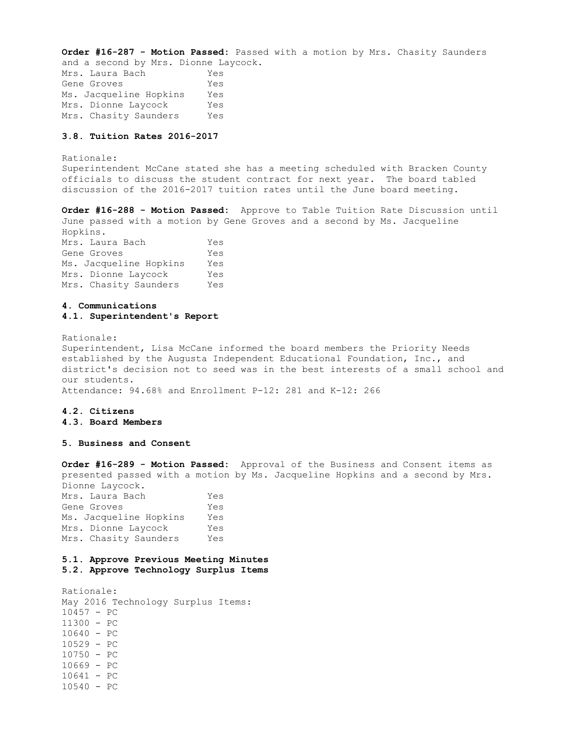**Order #16-287 - Motion Passed:** Passed with a motion by Mrs. Chasity Saunders and a second by Mrs. Dionne Laycock.

Mrs. Laura Bach Yes Gene Groves Yes Ms. Jacqueline Hopkins Yes Mrs. Dionne Laycock Yes Mrs. Chasity Saunders Yes

## **3.8. Tuition Rates 2016-2017**

Rationale: Superintendent McCane stated she has a meeting scheduled with Bracken County officials to discuss the student contract for next year. The board tabled discussion of the 2016-2017 tuition rates until the June board meeting.

**Order #16-288 - Motion Passed:** Approve to Table Tuition Rate Discussion until June passed with a motion by Gene Groves and a second by Ms. Jacqueline Hopkins. Mrs. Laura Bach Yes Gene Groves Yes Ms. Jacqueline Hopkins Yes Mrs. Dionne Laycock Yes Mrs. Chasity Saunders Yes

## **4. Communications 4.1. Superintendent's Report**

Rationale: Superintendent, Lisa McCane informed the board members the Priority Needs established by the Augusta Independent Educational Foundation, Inc., and district's decision not to seed was in the best interests of a small school and our students. Attendance: 94.68% and Enrollment P-12: 281 and K-12: 266

### **4.2. Citizens 4.3. Board Members**

#### **5. Business and Consent**

**Order #16-289 - Motion Passed:** Approval of the Business and Consent items as presented passed with a motion by Ms. Jacqueline Hopkins and a second by Mrs. Dionne Laycock. Mrs. Laura Bach Yes Gene Groves Tes Ms. Jacqueline Hopkins Yes Mrs. Dionne Laycock Yes Mrs. Chasity Saunders Yes

# **5.1. Approve Previous Meeting Minutes**

**5.2. Approve Technology Surplus Items** 

Rationale: May 2016 Technology Surplus Items: 10457 - PC 11300 - PC 10640 - PC 10529 - PC 10750 - PC 10669 - PC 10641 - PC 10540 - PC